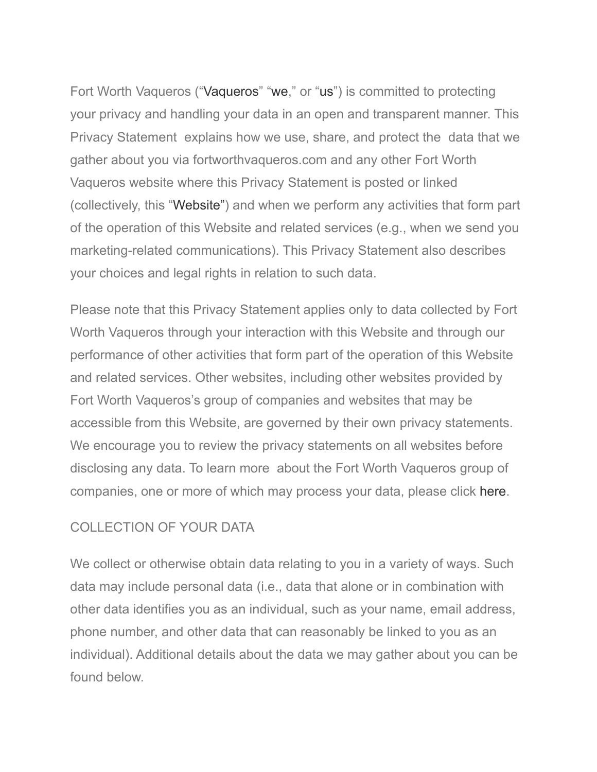Fort Worth Vaqueros ("Vaqueros" "we," or "us") is committed to protecting your privacy and handling your data in an open and transparent manner. This Privacy Statement explains how we use, share, and protect the data that we gather about you via fortworthvaqueros.com and any other Fort Worth Vaqueros website where this Privacy Statement is posted or linked (collectively, this "Website") and when we perform any activities that form part of the operation of this Website and related services (e.g., when we send you marketing-related communications). This Privacy Statement also describes your choices and legal rights in relation to such data.

Please note that this Privacy Statement applies only to data collected by Fort Worth Vaqueros through your interaction with this Website and through our performance of other activities that form part of the operation of this Website and related services. Other websites, including other websites provided by Fort Worth Vaqueros's group of companies and websites that may be accessible from this Website, are governed by their own privacy statements. We encourage you to review the privacy statements on all websites before disclosing any data. To learn more about the Fort Worth Vaqueros group of companies, one or more of which may process your data, please click [here](http://www.nielsen.com/eu/en/privacy-policy/gdpr-operating-entities.html).

### COLLECTION OF YOUR DATA

We collect or otherwise obtain data relating to you in a variety of ways. Such data may include personal data (i.e., data that alone or in combination with other data identifies you as an individual, such as your name, email address, phone number, and other data that can reasonably be linked to you as an individual). Additional details about the data we may gather about you can be found below.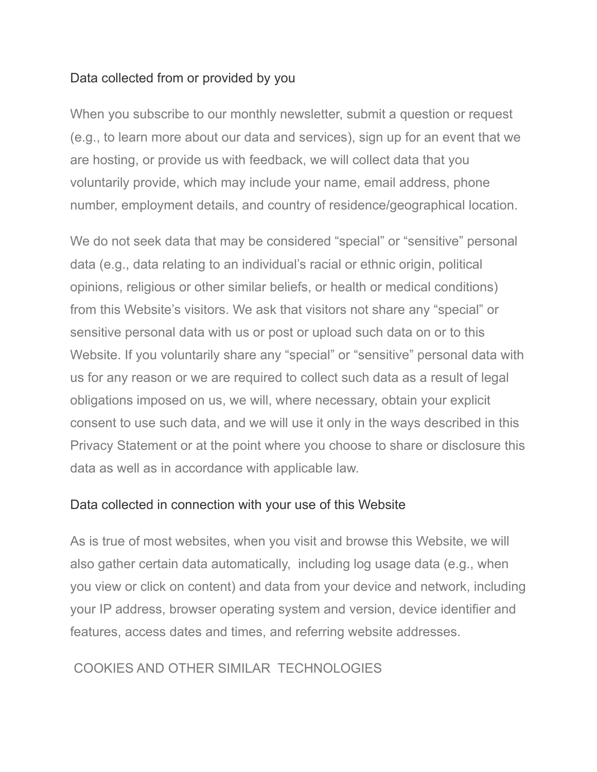#### Data collected from or provided by you

When you subscribe to our monthly newsletter, submit a question or request (e.g., to learn more about our data and services), sign up for an event that we are hosting, or provide us with feedback, we will collect data that you voluntarily provide, which may include your name, email address, phone number, employment details, and country of residence/geographical location.

We do not seek data that may be considered "special" or "sensitive" personal data (e.g., data relating to an individual's racial or ethnic origin, political opinions, religious or other similar beliefs, or health or medical conditions) from this Website's visitors. We ask that visitors not share any "special" or sensitive personal data with us or post or upload such data on or to this Website. If you voluntarily share any "special" or "sensitive" personal data with us for any reason or we are required to collect such data as a result of legal obligations imposed on us, we will, where necessary, obtain your explicit consent to use such data, and we will use it only in the ways described in this Privacy Statement or at the point where you choose to share or disclosure this data as well as in accordance with applicable law.

#### Data collected in connection with your use of this Website

As is true of most websites, when you visit and browse this Website, we will also gather certain data automatically, including log usage data (e.g., when you view or click on content) and data from your device and network, including your IP address, browser operating system and version, device identifier and features, access dates and times, and referring website addresses.

#### COOKIES AND OTHER SIMILAR TECHNOLOGIES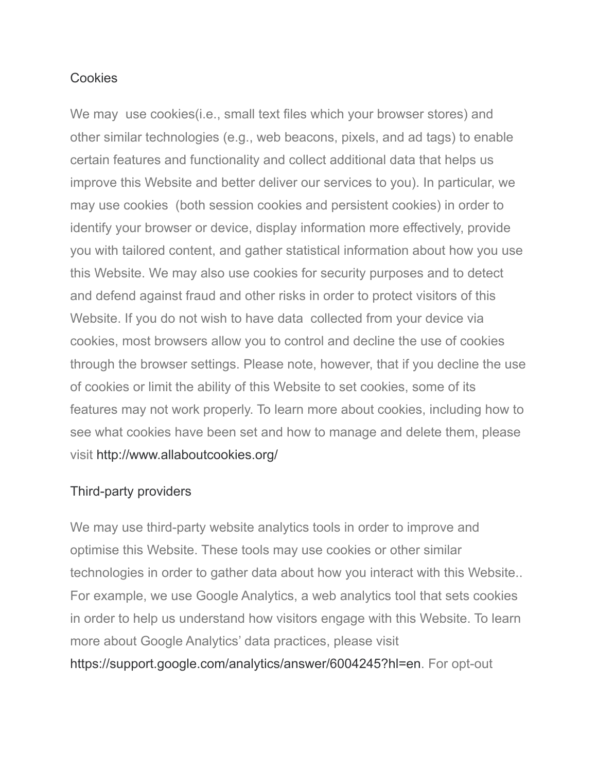#### **Cookies**

We may use cookies(i.e., small text files which your browser stores) and other similar technologies (e.g., web beacons, pixels, and ad tags) to enable certain features and functionality and collect additional data that helps us improve this Website and better deliver our services to you). In particular, we may use cookies (both session cookies and persistent cookies) in order to identify your browser or device, display information more effectively, provide you with tailored content, and gather statistical information about how you use this Website. We may also use cookies for security purposes and to detect and defend against fraud and other risks in order to protect visitors of this Website. If you do not wish to have data collected from your device via cookies, most browsers allow you to control and decline the use of cookies through the browser settings. Please note, however, that if you decline the use of cookies or limit the ability of this Website to set cookies, some of its features may not work properly. To learn more about cookies, including how to see what cookies have been set and how to manage and delete them, please visit <http://www.allaboutcookies.org/>

#### Third-party providers

We may use third-party website analytics tools in order to improve and optimise this Website. These tools may use cookies or other similar technologies in order to gather data about how you interact with this Website.. For example, we use Google Analytics, a web analytics tool that sets cookies in order to help us understand how visitors engage with this Website. To learn more about Google Analytics' data practices, please visit [https://support.google.com/analytics/answer/6004245?hl=en.](https://support.google.com/analytics/answer/6004245?hl=en) For opt-out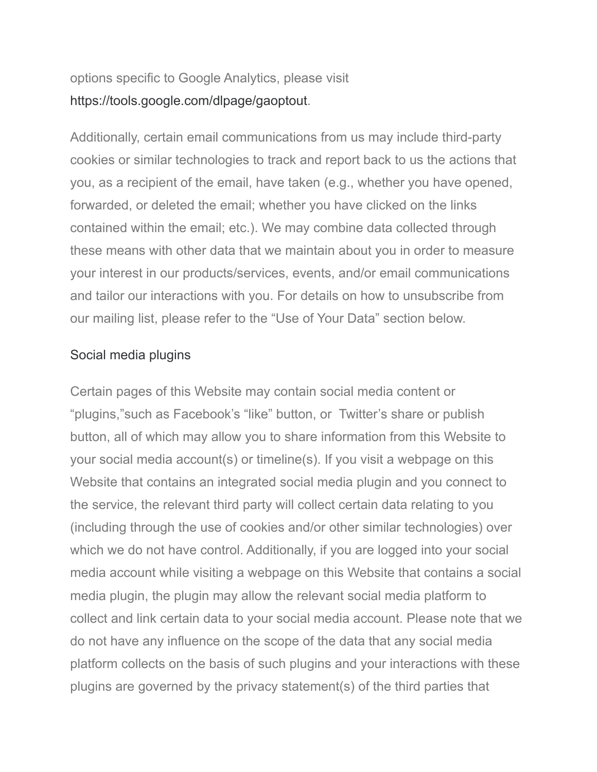### options specific to Google Analytics, please visit <https://tools.google.com/dlpage/gaoptout>.

Additionally, certain email communications from us may include third-party cookies or similar technologies to track and report back to us the actions that you, as a recipient of the email, have taken (e.g., whether you have opened, forwarded, or deleted the email; whether you have clicked on the links contained within the email; etc.). We may combine data collected through these means with other data that we maintain about you in order to measure your interest in our products/services, events, and/or email communications and tailor our interactions with you. For details on how to unsubscribe from our mailing list, please refer to the "Use of Your Data" section below.

### Social media plugins

Certain pages of this Website may contain social media content or "plugins,"such as Facebook's "like" button, or Twitter's share or publish button, all of which may allow you to share information from this Website to your social media account(s) or timeline(s). If you visit a webpage on this Website that contains an integrated social media plugin and you connect to the service, the relevant third party will collect certain data relating to you (including through the use of cookies and/or other similar technologies) over which we do not have control. Additionally, if you are logged into your social media account while visiting a webpage on this Website that contains a social media plugin, the plugin may allow the relevant social media platform to collect and link certain data to your social media account. Please note that we do not have any influence on the scope of the data that any social media platform collects on the basis of such plugins and your interactions with these plugins are governed by the privacy statement(s) of the third parties that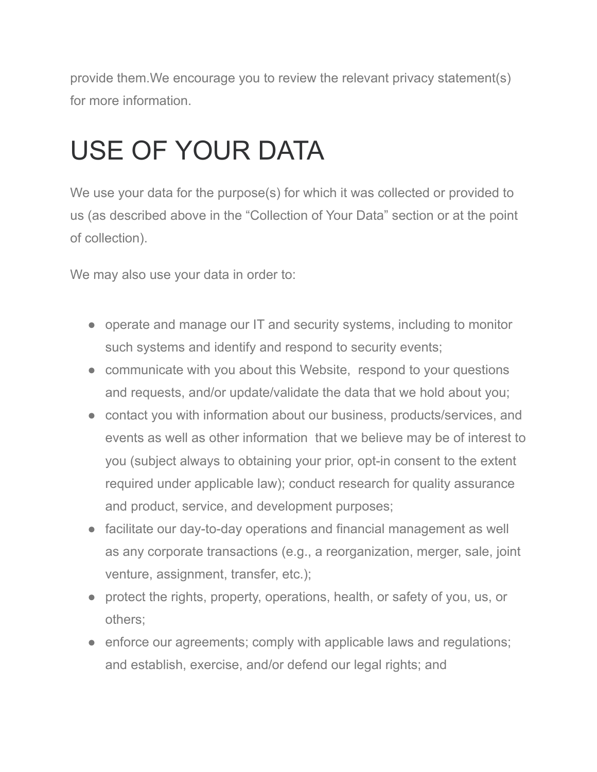provide them.We encourage you to review the relevant privacy statement(s) for more information.

### USE OF YOUR DATA

We use your data for the purpose(s) for which it was collected or provided to us (as described above in the "Collection of Your Data" section or at the point of collection).

We may also use your data in order to:

- operate and manage our IT and security systems, including to monitor such systems and identify and respond to security events;
- communicate with you about this Website, respond to your questions and requests, and/or update/validate the data that we hold about you;
- contact you with information about our business, products/services, and events as well as other information that we believe may be of interest to you (subject always to obtaining your prior, opt-in consent to the extent required under applicable law); conduct research for quality assurance and product, service, and development purposes;
- facilitate our day-to-day operations and financial management as well as any corporate transactions (e.g., a reorganization, merger, sale, joint venture, assignment, transfer, etc.);
- protect the rights, property, operations, health, or safety of you, us, or others;
- enforce our agreements; comply with applicable laws and regulations; and establish, exercise, and/or defend our legal rights; and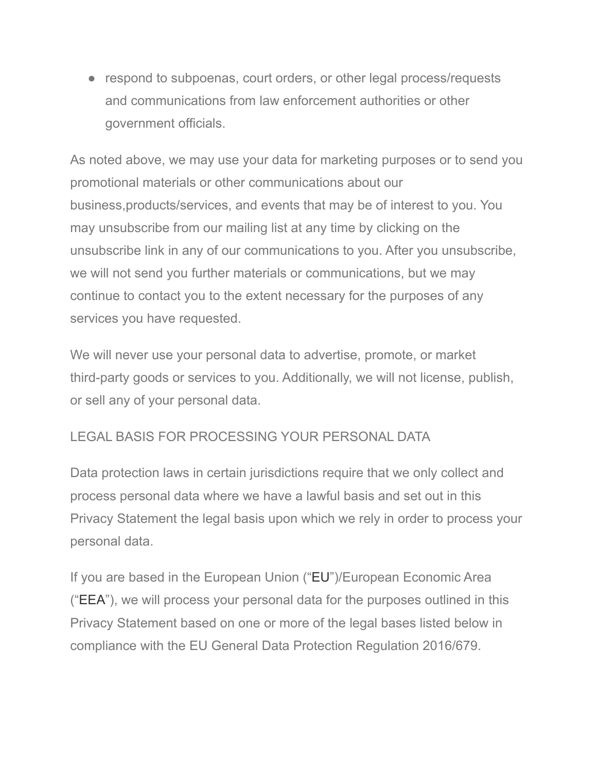• respond to subpoenas, court orders, or other legal process/requests and communications from law enforcement authorities or other government officials.

As noted above, we may use your data for marketing purposes or to send you promotional materials or other communications about our business,products/services, and events that may be of interest to you. You may unsubscribe from our mailing list at any time by clicking on the unsubscribe link in any of our communications to you. After you unsubscribe, we will not send you further materials or communications, but we may continue to contact you to the extent necessary for the purposes of any services you have requested.

We will never use your personal data to advertise, promote, or market third-party goods or services to you. Additionally, we will not license, publish, or sell any of your personal data.

#### LEGAL BASIS FOR PROCESSING YOUR PERSONAL DATA

Data protection laws in certain jurisdictions require that we only collect and process personal data where we have a lawful basis and set out in this Privacy Statement the legal basis upon which we rely in order to process your personal data.

If you are based in the European Union ("EU")/European Economic Area ("EEA"), we will process your personal data for the purposes outlined in this Privacy Statement based on one or more of the legal bases listed below in compliance with the EU General Data Protection Regulation 2016/679.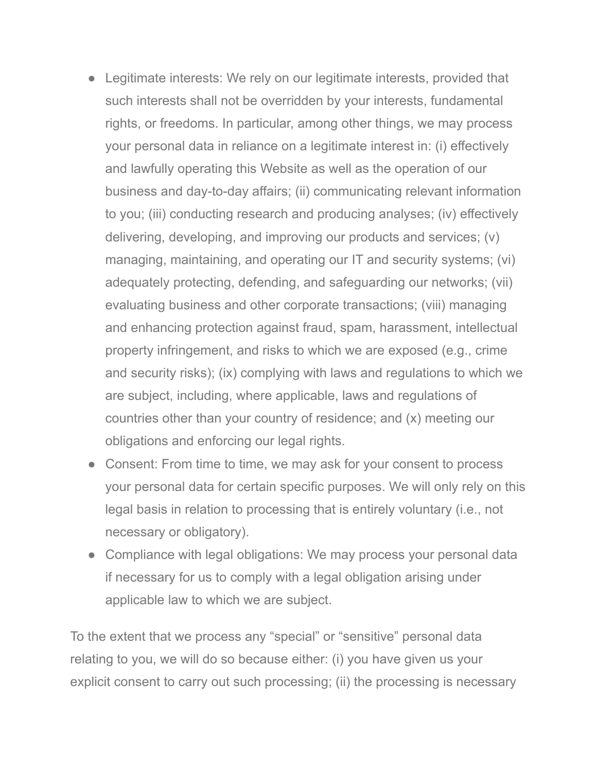- Legitimate interests: We rely on our legitimate interests, provided that such interests shall not be overridden by your interests, fundamental rights, or freedoms. In particular, among other things, we may process your personal data in reliance on a legitimate interest in: (i) effectively and lawfully operating this Website as well as the operation of our business and day-to-day affairs; (ii) communicating relevant information to you; (iii) conducting research and producing analyses; (iv) effectively delivering, developing, and improving our products and services; (v) managing, maintaining, and operating our IT and security systems; (vi) adequately protecting, defending, and safeguarding our networks; (vii) evaluating business and other corporate transactions; (viii) managing and enhancing protection against fraud, spam, harassment, intellectual property infringement, and risks to which we are exposed (e.g., crime and security risks); (ix) complying with laws and regulations to which we are subject, including, where applicable, laws and regulations of countries other than your country of residence; and (x) meeting our obligations and enforcing our legal rights.
- Consent: From time to time, we may ask for your consent to process your personal data for certain specific purposes. We will only rely on this legal basis in relation to processing that is entirely voluntary (i.e., not necessary or obligatory).
- Compliance with legal obligations: We may process your personal data if necessary for us to comply with a legal obligation arising under applicable law to which we are subject.

To the extent that we process any "special" or "sensitive" personal data relating to you, we will do so because either: (i) you have given us your explicit consent to carry out such processing; (ii) the processing is necessary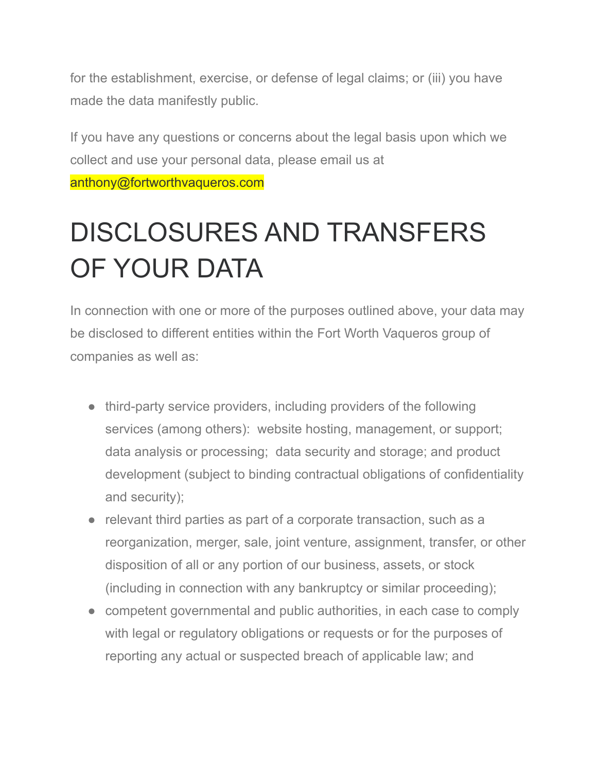for the establishment, exercise, or defense of legal claims; or (iii) you have made the data manifestly public.

If you have any questions or concerns about the legal basis upon which we collect and use your personal data, please email us at anthony@fortworthvaqueros.com

### DISCLOSURES AND TRANSFERS OF YOUR DATA

In connection with one or more of the purposes outlined above, your data may be disclosed to different entities within the Fort Worth Vaqueros group of companies as well as:

- third-party service providers, including providers of the following services (among others): website hosting, management, or support; data analysis or processing; data security and storage; and product development (subject to binding contractual obligations of confidentiality and security);
- relevant third parties as part of a corporate transaction, such as a reorganization, merger, sale, joint venture, assignment, transfer, or other disposition of all or any portion of our business, assets, or stock (including in connection with any bankruptcy or similar proceeding);
- competent governmental and public authorities, in each case to comply with legal or regulatory obligations or requests or for the purposes of reporting any actual or suspected breach of applicable law; and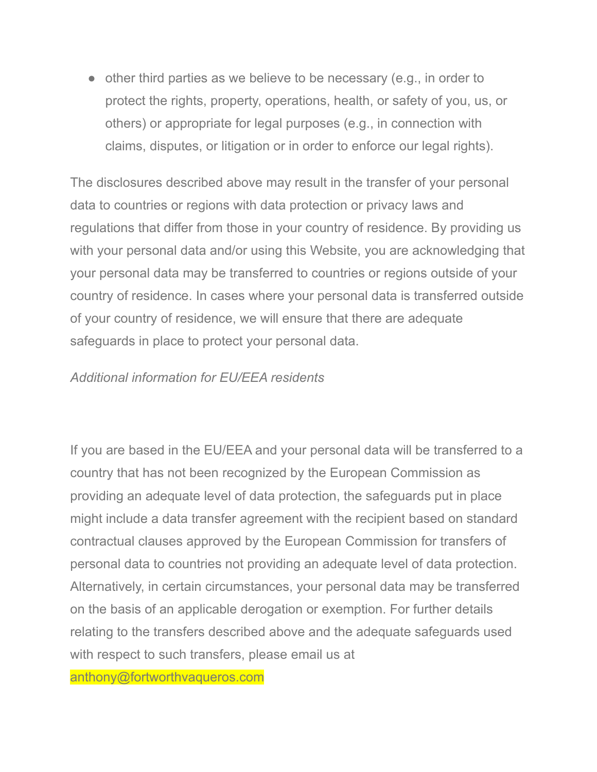• other third parties as we believe to be necessary (e.g., in order to protect the rights, property, operations, health, or safety of you, us, or others) or appropriate for legal purposes (e.g., in connection with claims, disputes, or litigation or in order to enforce our legal rights).

The disclosures described above may result in the transfer of your personal data to countries or regions with data protection or privacy laws and regulations that differ from those in your country of residence. By providing us with your personal data and/or using this Website, you are acknowledging that your personal data may be transferred to countries or regions outside of your country of residence. In cases where your personal data is transferred outside of your country of residence, we will ensure that there are adequate safeguards in place to protect your personal data.

#### *Additional information for EU/EEA residents*

If you are based in the EU/EEA and your personal data will be transferred to a country that has not been recognized by the European Commission as providing an adequate level of data protection, the safeguards put in place might include a data transfer agreement with the recipient based on standard contractual clauses approved by the European Commission for transfers of personal data to countries not providing an adequate level of data protection. Alternatively, in certain circumstances, your personal data may be transferred on the basis of an applicable derogation or exemption. For further details relating to the transfers described above and the adequate safeguards used with respect to such transfers, please email us at

anthony@fortworthvaqueros.com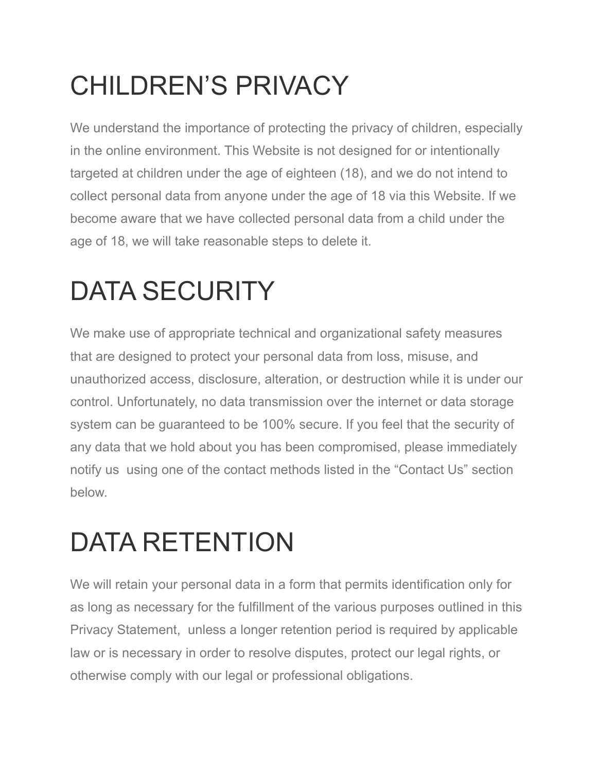# CHILDREN'S PRIVACY

We understand the importance of protecting the privacy of children, especially in the online environment. This Website is not designed for or intentionally targeted at children under the age of eighteen (18), and we do not intend to collect personal data from anyone under the age of 18 via this Website. If we become aware that we have collected personal data from a child under the age of 18, we will take reasonable steps to delete it.

## DATA SECURITY

We make use of appropriate technical and organizational safety measures that are designed to protect your personal data from loss, misuse, and unauthorized access, disclosure, alteration, or destruction while it is under our control. Unfortunately, no data transmission over the internet or data storage system can be guaranteed to be 100% secure. If you feel that the security of any data that we hold about you has been compromised, please immediately notify us using one of the contact methods listed in the "Contact Us" section below.

### DATA RETENTION

We will retain your personal data in a form that permits identification only for as long as necessary for the fulfillment of the various purposes outlined in this Privacy Statement, unless a longer retention period is required by applicable law or is necessary in order to resolve disputes, protect our legal rights, or otherwise comply with our legal or professional obligations.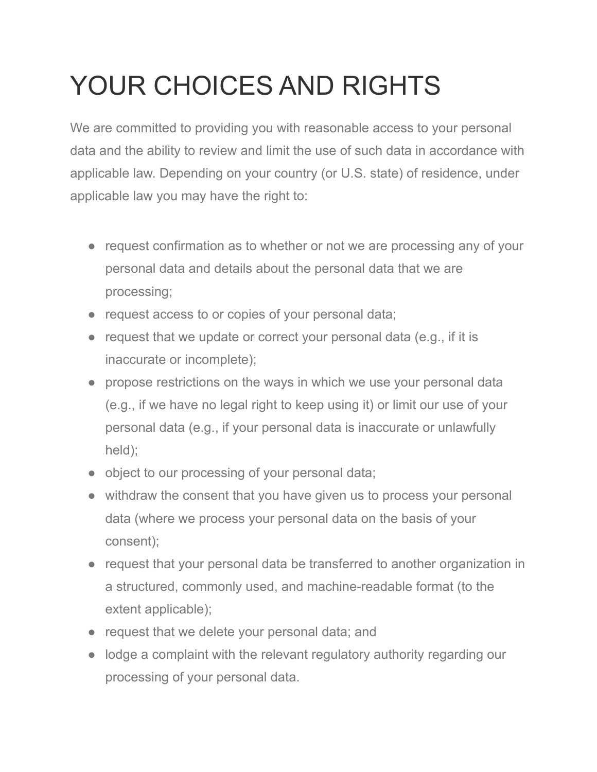## YOUR CHOICES AND RIGHTS

We are committed to providing you with reasonable access to your personal data and the ability to review and limit the use of such data in accordance with applicable law. Depending on your country (or U.S. state) of residence, under applicable law you may have the right to:

- request confirmation as to whether or not we are processing any of your personal data and details about the personal data that we are processing;
- request access to or copies of your personal data;
- request that we update or correct your personal data (e.g., if it is inaccurate or incomplete);
- propose restrictions on the ways in which we use your personal data (e.g., if we have no legal right to keep using it) or limit our use of your personal data (e.g., if your personal data is inaccurate or unlawfully held);
- object to our processing of your personal data;
- withdraw the consent that you have given us to process your personal data (where we process your personal data on the basis of your consent);
- request that your personal data be transferred to another organization in a structured, commonly used, and machine-readable format (to the extent applicable);
- request that we delete your personal data; and
- lodge a complaint with the relevant regulatory authority regarding our processing of your personal data.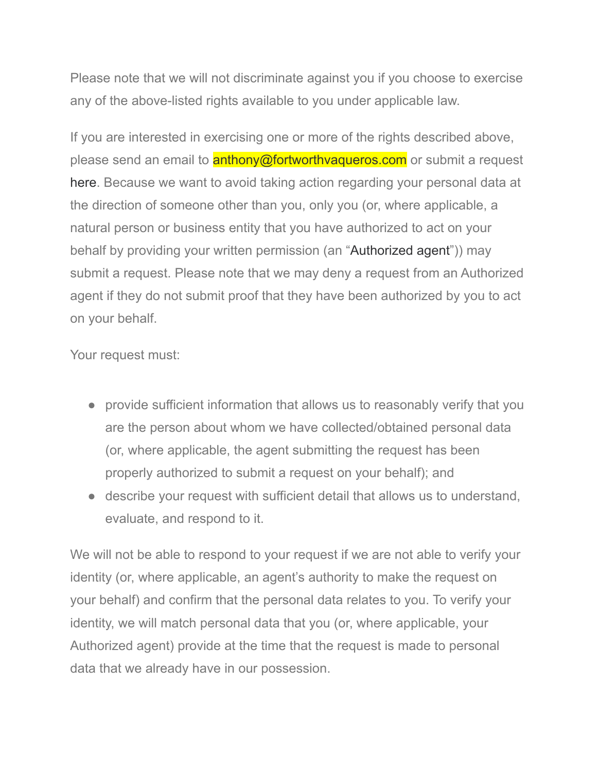Please note that we will not discriminate against you if you choose to exercise any of the above-listed rights available to you under applicable law.

If you are interested in exercising one or more of the rights described above, please send an email to **anthony@fortworthvaqueros.com** or submit a request [here](https://privacyportalde-cdn.onetrust.com/dsarwebform/70b0083d-d519-4ad2-84ca-96b7c5f8e1a9/9810a8bc-e54d-4d70-bac0-5e4d781ef5b9.html). Because we want to avoid taking action regarding your personal data at the direction of someone other than you, only you (or, where applicable, a natural person or business entity that you have authorized to act on your behalf by providing your written permission (an "Authorized agent")) may submit a request. Please note that we may deny a request from an Authorized agent if they do not submit proof that they have been authorized by you to act on your behalf.

Your request must:

- provide sufficient information that allows us to reasonably verify that you are the person about whom we have collected/obtained personal data (or, where applicable, the agent submitting the request has been properly authorized to submit a request on your behalf); and
- describe your request with sufficient detail that allows us to understand, evaluate, and respond to it.

We will not be able to respond to your request if we are not able to verify your identity (or, where applicable, an agent's authority to make the request on your behalf) and confirm that the personal data relates to you. To verify your identity, we will match personal data that you (or, where applicable, your Authorized agent) provide at the time that the request is made to personal data that we already have in our possession.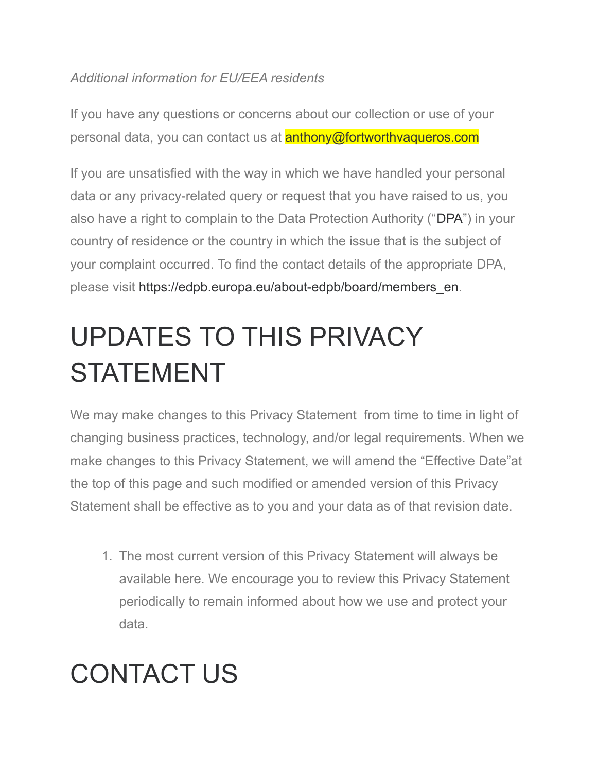### *Additional information for EU/EEA residents*

If you have any questions or concerns about our collection or use of your personal data, you can contact us at **anthony@fortworthvaqueros.com** 

If you are unsatisfied with the way in which we have handled your personal data or any privacy-related query or request that you have raised to us, you also have a right to complain to the Data Protection Authority ("DPA") in your country of residence or the country in which the issue that is the subject of your complaint occurred. To find the contact details of the appropriate DPA, please visit [https://edpb.europa.eu/about-edpb/board/members\\_en.](https://edpb.europa.eu/about-edpb/board/members_en)

# UPDATES TO THIS PRIVACY STATEMENT

We may make changes to this Privacy Statement from time to time in light of changing business practices, technology, and/or legal requirements. When we make changes to this Privacy Statement, we will amend the "Effective Date"at the top of this page and such modified or amended version of this Privacy Statement shall be effective as to you and your data as of that revision date.

1. The most current version of this Privacy Statement will always be available here. We encourage you to review this Privacy Statement periodically to remain informed about how we use and protect your data.

### CONTACT US